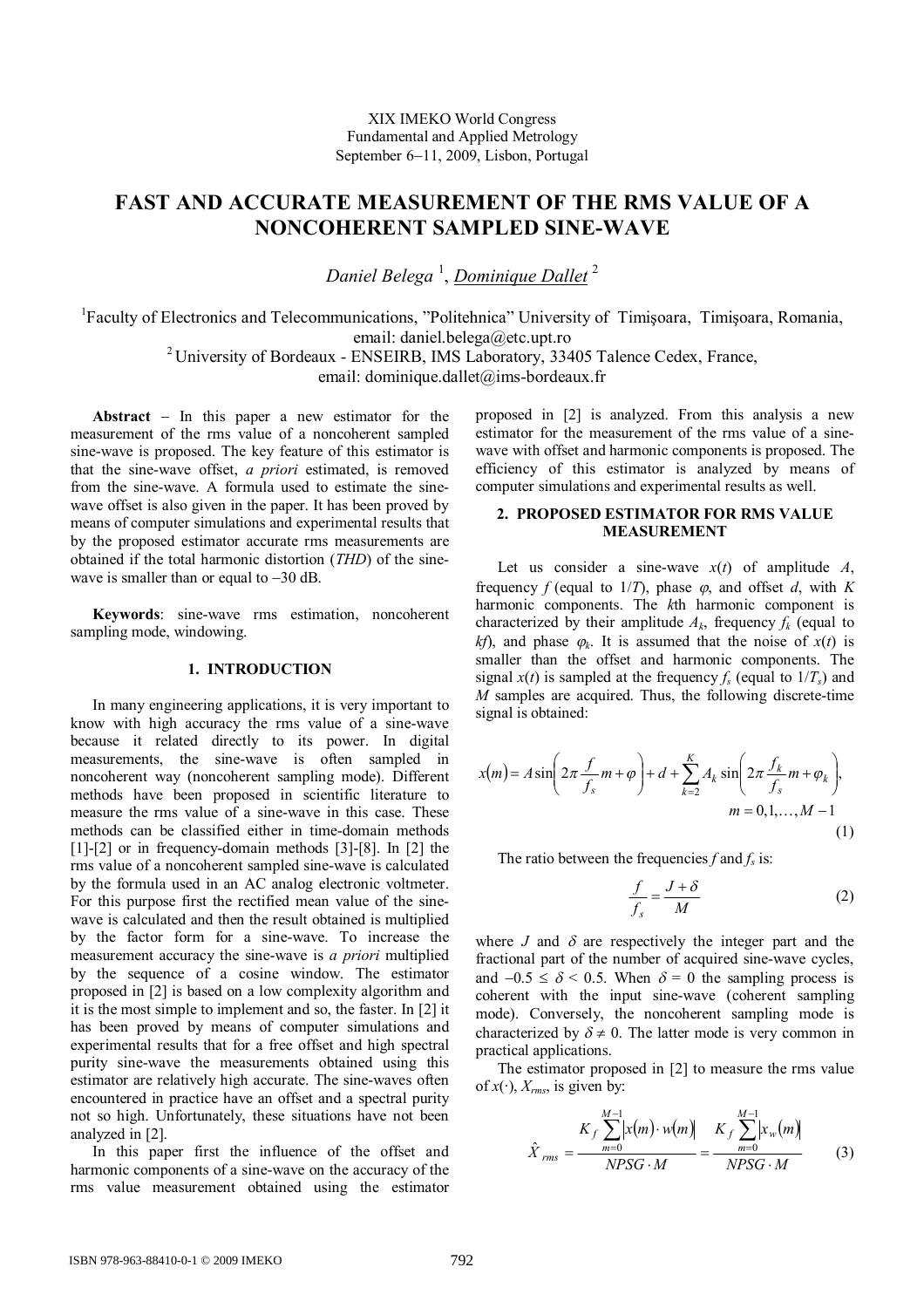# **FAST AND ACCURATE MEASUREMENT OF THE RMS VALUE OF A NONCOHERENT SAMPLED SINE-WAVE**

*Daniel Belega* <sup>1</sup> , *Dominique Dallet* <sup>2</sup>

<sup>1</sup>Faculty of Electronics and Telecommunications, "Politehnica" University of Timișoara, Timișoara, Romania, email: daniel.belega@etc.upt.ro

<sup>2</sup> University of Bordeaux - ENSEIRB, IMS Laboratory, 33405 Talence Cedex, France,

email: dominique.dallet@ims-bordeaux.fr

Abstract  $-$  In this paper a new estimator for the measurement of the rms value of a noncoherent sampled sine-wave is proposed. The key feature of this estimator is that the sine-wave offset, *a priori* estimated, is removed from the sine-wave. A formula used to estimate the sinewave offset is also given in the paper. It has been proved by means of computer simulations and experimental results that by the proposed estimator accurate rms measurements are obtained if the total harmonic distortion (*THD*) of the sinewave is smaller than or equal to  $-30$  dB.

**Keywords**: sine-wave rms estimation, noncoherent sampling mode, windowing.

## **1. INTRODUCTION**

In many engineering applications, it is very important to know with high accuracy the rms value of a sine-wave because it related directly to its power. In digital measurements, the sine-wave is often sampled in noncoherent way (noncoherent sampling mode). Different methods have been proposed in scientific literature to measure the rms value of a sine-wave in this case. These methods can be classified either in time-domain methods [1]-[2] or in frequency-domain methods [3]-[8]. In [2] the rms value of a noncoherent sampled sine-wave is calculated by the formula used in an AC analog electronic voltmeter. For this purpose first the rectified mean value of the sinewave is calculated and then the result obtained is multiplied by the factor form for a sine-wave. To increase the measurement accuracy the sine-wave is *a priori* multiplied by the sequence of a cosine window. The estimator proposed in [2] is based on a low complexity algorithm and it is the most simple to implement and so, the faster. In [2] it has been proved by means of computer simulations and experimental results that for a free offset and high spectral purity sine-wave the measurements obtained using this estimator are relatively high accurate. The sine-waves often encountered in practice have an offset and a spectral purity not so high. Unfortunately, these situations have not been analyzed in [2].

In this paper first the influence of the offset and harmonic components of a sine-wave on the accuracy of the rms value measurement obtained using the estimator proposed in [2] is analyzed. From this analysis a new estimator for the measurement of the rms value of a sinewave with offset and harmonic components is proposed. The efficiency of this estimator is analyzed by means of computer simulations and experimental results as well.

## **2. PROPOSED ESTIMATOR FOR RMS VALUE MEASUREMENT**

Let us consider a sine-wave  $x(t)$  of amplitude  $A$ , frequency *f* (equal to  $1/T$ ), phase  $\varphi$ , and offset *d*, with *K* harmonic components. The *k*th harmonic component is characterized by their amplitude  $A_k$ , frequency  $f_k$  (equal to *kf*), and phase  $\varphi_k$ . It is assumed that the noise of  $x(t)$  is smaller than the offset and harmonic components. The signal  $x(t)$  is sampled at the frequency  $f_s$  (equal to  $1/T_s$ ) and *M* samples are acquired. Thus, the following discrete-time signal is obtained:

$$
x(m) = A \sin\left(2\pi \frac{f}{f_s} m + \varphi\right) + d + \sum_{k=2}^{K} A_k \sin\left(2\pi \frac{f_k}{f_s} m + \varphi_k\right),
$$
  

$$
m = 0, 1, ..., M - 1
$$
 (1)

The ratio between the frequencies  $f$  and  $f_s$  is:

$$
\frac{f}{f_s} = \frac{J + \delta}{M} \tag{2}
$$

where *J* and  $\delta$  are respectively the integer part and the fractional part of the number of acquired sine-wave cycles, and  $-0.5 \le \delta \le 0.5$ . When  $\delta = 0$  the sampling process is coherent with the input sine-wave (coherent sampling mode). Conversely, the noncoherent sampling mode is characterized by  $\delta \neq 0$ . The latter mode is very common in practical applications.

The estimator proposed in [2] to measure the rms value of  $x(\cdot)$ ,  $X_{rms}$ , is given by:

$$
\hat{X}_{rms} = \frac{K_f \sum_{m=0}^{M-1} [x(m) \cdot w(m)]}{NPSG \cdot M} = \frac{K_f \sum_{m=0}^{M-1} [x_w(m)]}{NPSG \cdot M}
$$
(3)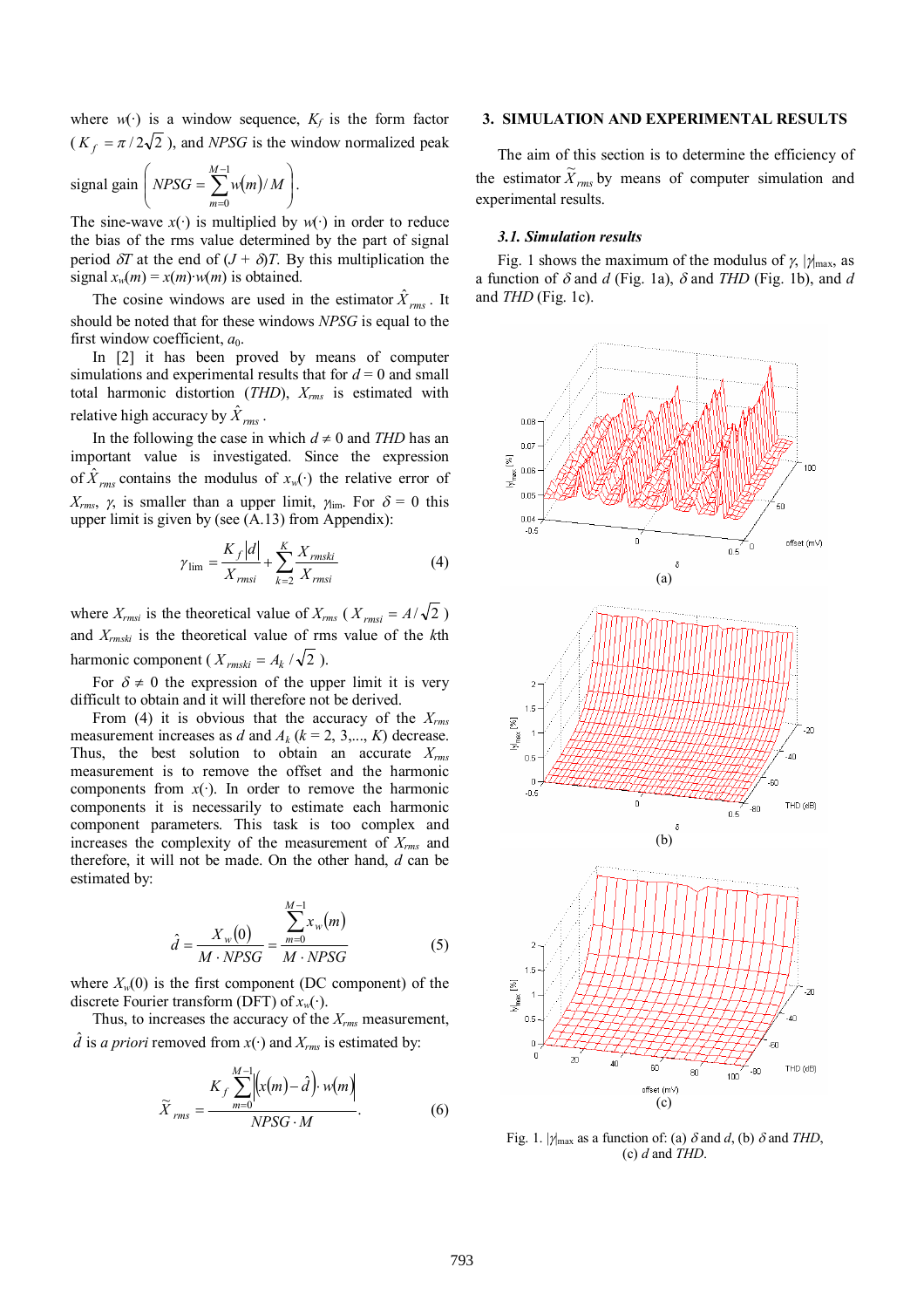where  $w(\cdot)$  is a window sequence,  $K_f$  is the form factor  $(K_f = \pi/2\sqrt{2})$ , and *NPSG* is the window normalized peak

signal gain 
$$
\left( NPSG = \sum_{m=0}^{M-1} w(m)/M \right)
$$
.

The sine-wave  $x(\cdot)$  is multiplied by  $w(\cdot)$  in order to reduce the bias of the rms value determined by the part of signal period  $\delta T$  at the end of  $(J + \delta)T$ . By this multiplication the signal  $x_w(m) = x(m) \cdot w(m)$  is obtained.

The cosine windows are used in the estimator  $\hat{X}_{rms}$ . It should be noted that for these windows *NPSG* is equal to the first window coefficient,  $a_0$ .

In [2] it has been proved by means of computer simulations and experimental results that for  $d = 0$  and small total harmonic distortion (*THD*), *Xrms* is estimated with relative high accuracy by  $\hat{X}_{rms}$ .

In the following the case in which  $d \neq 0$  and *THD* has an important value is investigated. Since the expression of  $\hat{X}_{rms}$  contains the modulus of  $x_w(\cdot)$  the relative error of  $X_{rms}$ ,  $\gamma$ , is smaller than a upper limit,  $\gamma_{\text{im}}$ . For  $\delta = 0$  this upper limit is given by (see (A.13) from Appendix):

$$
\gamma_{\text{lim}} = \frac{K_f |d|}{X_{\text{rms}i}} + \sum_{k=2}^{K} \frac{X_{\text{rms}ki}}{X_{\text{rms}i}}
$$
(4)

where  $X_{rmsi}$  is the theoretical value of  $X_{rms}$  ( $X_{rmsi} = A/\sqrt{2}$ ) and *Xrmski* is the theoretical value of rms value of the *k*th harmonic component ( $X_{\text{rmski}} = A_k / \sqrt{2}$ ).

For  $\delta \neq 0$  the expression of the upper limit it is very difficult to obtain and it will therefore not be derived.

From (4) it is obvious that the accuracy of the *Xrms* measurement increases as *d* and  $A_k$  ( $k = 2, 3, \ldots, K$ ) decrease. Thus, the best solution to obtain an accurate *Xrms* measurement is to remove the offset and the harmonic components from  $x(\cdot)$ . In order to remove the harmonic components it is necessarily to estimate each harmonic component parameters. This task is too complex and increases the complexity of the measurement of *Xrms* and therefore, it will not be made. On the other hand, *d* can be estimated by:

$$
\hat{d} = \frac{X_w(0)}{M \cdot NPSG} = \frac{\sum_{m=0}^{M-1} x_w(m)}{M \cdot NPSG}
$$
 (5)

where  $X_w(0)$  is the first component (DC component) of the discrete Fourier transform (DFT) of *xw*(·).

Thus, to increases the accuracy of the *Xrms* measurement,  $\hat{d}$  is *a priori* removed from  $x(\cdot)$  and  $X_{rms}$  is estimated by:

$$
\widetilde{X}_{rms} = \frac{K_f \sum_{m=0}^{M-1} \left| \left( x(m) - \hat{d} \right) \cdot w(m) \right|}{NPSG \cdot M}.
$$
\n(6)

# **3. SIMULATION AND EXPERIMENTAL RESULTS**

The aim of this section is to determine the efficiency of the estimator  $\widetilde{X}_{rms}$  by means of computer simulation and experimental results.

#### *3.1. Simulation results*

Fig. 1 shows the maximum of the modulus of  $\gamma$ ,  $|\gamma|_{\text{max}}$ , as a function of  $\delta$  and *d* (Fig. 1a),  $\delta$  and *THD* (Fig. 1b), and *d* and *THD* (Fig. 1c).



Fig. 1.  $|\gamma_{\text{max}}$  as a function of: (a)  $\delta$  and *d*, (b)  $\delta$  and *THD*, (c) *d* and *THD*.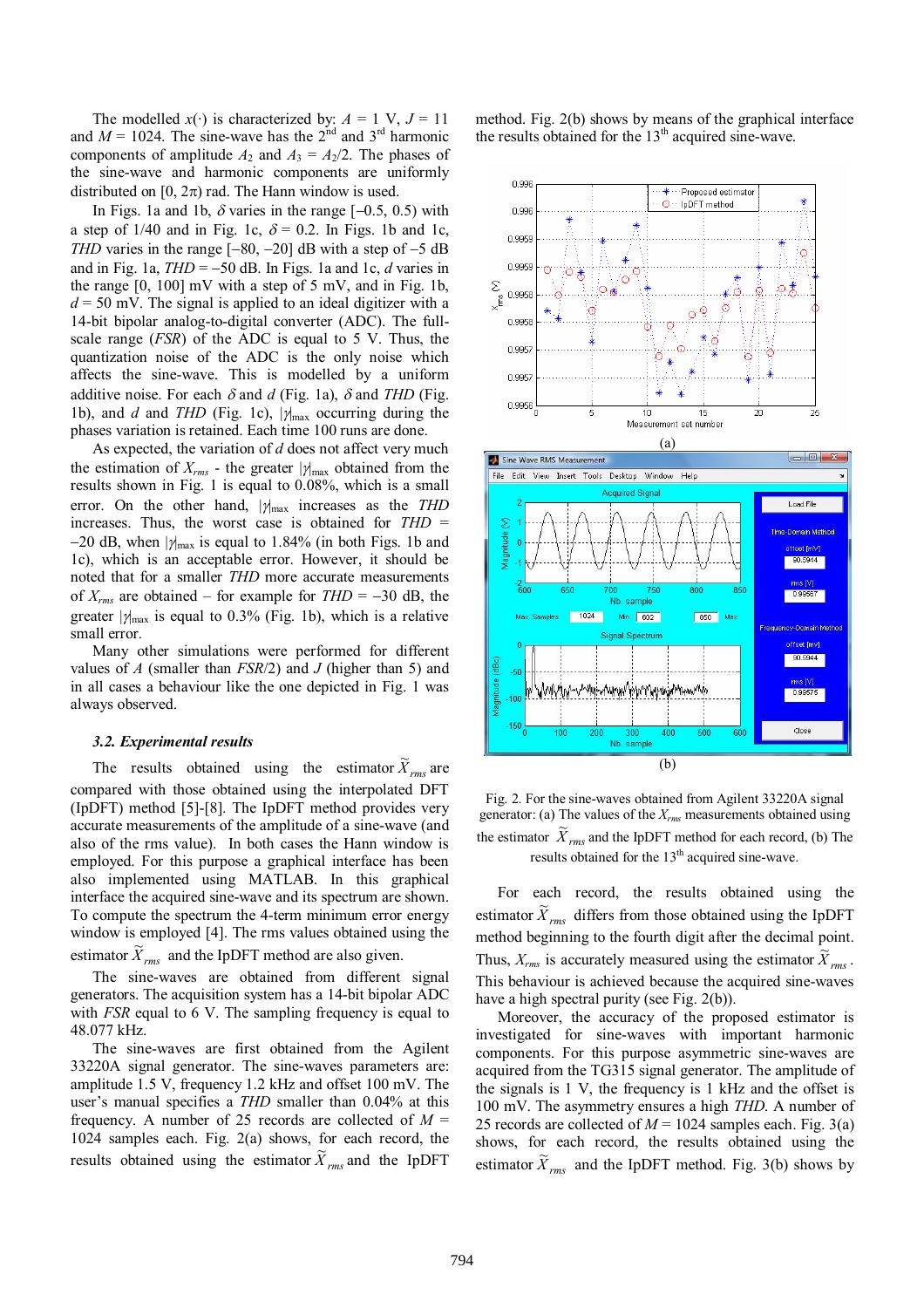The modelled  $x(\cdot)$  is characterized by:  $A = 1$  V,  $J = 11$ and  $M = 1024$ . The sine-wave has the  $2<sup>nd</sup>$  and  $3<sup>rd</sup>$  harmonic components of amplitude  $A_2$  and  $A_3 = A_2/2$ . The phases of the sine-wave and harmonic components are uniformly distributed on  $[0, 2\pi)$  rad. The Hann window is used.

In Figs. 1a and 1b,  $\delta$  varies in the range  $[-0.5, 0.5)$  with a step of 1/40 and in Fig. 1c,  $\delta = 0.2$ . In Figs. 1b and 1c, *THD* varies in the range  $[-80, -20]$  dB with a step of  $-5$  dB and in Fig. 1a,  $THD = -50$  dB. In Figs. 1a and 1c,  $d$  varies in the range  $[0, 100]$  mV with a step of 5 mV, and in Fig. 1b,  $d = 50$  mV. The signal is applied to an ideal digitizer with a 14-bit bipolar analog-to-digital converter (ADC). The fullscale range (*FSR*) of the ADC is equal to 5 V. Thus, the quantization noise of the ADC is the only noise which affects the sine-wave. This is modelled by a uniform additive noise. For each  $\delta$  and *d* (Fig. 1a),  $\delta$  and *THD* (Fig. 1b), and *d* and *THD* (Fig. 1c),  $|\gamma_{\text{max}}|$  occurring during the phases variation is retained. Each time 100 runs are done.

As expected, the variation of *d* does not affect very much the estimation of  $X_{rms}$  - the greater  $|\gamma|_{max}$  obtained from the results shown in Fig. 1 is equal to 0.08%, which is a small error. On the other hand,  $|\gamma|_{\text{max}}$  increases as the *THD* increases. Thus, the worst case is obtained for *THD* = -20 dB, when  $|\gamma_{\text{max}}|$  is equal to 1.84% (in both Figs. 1b and 1c), which is an acceptable error. However, it should be noted that for a smaller *THD* more accurate measurements of  $X_{rms}$  are obtained – for example for  $THD = -30$  dB, the greater  $|\gamma|_{\text{max}}$  is equal to 0.3% (Fig. 1b), which is a relative small error.

Many other simulations were performed for different values of *A* (smaller than *FSR*/2) and *J* (higher than 5) and in all cases a behaviour like the one depicted in Fig. 1 was always observed.

#### *3.2. Experimental results*

The results obtained using the estimator  $\widetilde{X}_{rms}$  are compared with those obtained using the interpolated DFT (IpDFT) method [5]-[8]. The IpDFT method provides very accurate measurements of the amplitude of a sine-wave (and also of the rms value). In both cases the Hann window is employed. For this purpose a graphical interface has been also implemented using MATLAB. In this graphical interface the acquired sine-wave and its spectrum are shown. To compute the spectrum the 4-term minimum error energy window is employed [4]. The rms values obtained using the estimator  $\widetilde{X}_{rms}$  and the IpDFT method are also given.

The sine-waves are obtained from different signal generators. The acquisition system has a 14-bit bipolar ADC with *FSR* equal to 6 V. The sampling frequency is equal to 48.077 kHz.

The sine-waves are first obtained from the Agilent 33220A signal generator. The sine-waves parameters are: amplitude 1.5 V, frequency 1.2 kHz and offset 100 mV. The user's manual specifies a *THD* smaller than 0.04% at this frequency. A number of 25 records are collected of  $M =$ 1024 samples each. Fig. 2(a) shows, for each record, the results obtained using the estimator  $\widetilde{X}_{rms}$  and the IpDFT method. Fig. 2(b) shows by means of the graphical interface the results obtained for the  $13<sup>th</sup>$  acquired sine-wave.



Fig. 2. For the sine-waves obtained from Agilent 33220A signal generator: (a) The values of the *Xrms* measurements obtained using the estimator  $\widetilde{X}_{rms}$  and the IpDFT method for each record, (b) The results obtained for the  $13<sup>th</sup>$  acquired sine-wave.

For each record, the results obtained using the estimator  $\widetilde{X}_{rms}$  differs from those obtained using the IpDFT method beginning to the fourth digit after the decimal point. Thus,  $X_{rms}$  is accurately measured using the estimator  $\overline{\tilde{X}}_{rms}$ . This behaviour is achieved because the acquired sine-waves have a high spectral purity (see Fig. 2(b)).

Moreover, the accuracy of the proposed estimator is investigated for sine-waves with important harmonic components. For this purpose asymmetric sine-waves are acquired from the TG315 signal generator. The amplitude of the signals is 1 V, the frequency is 1 kHz and the offset is 100 mV. The asymmetry ensures a high *THD*. A number of 25 records are collected of  $M = 1024$  samples each. Fig. 3(a) shows, for each record, the results obtained using the estimator  $\widetilde{X}_{rms}$  and the IpDFT method. Fig. 3(b) shows by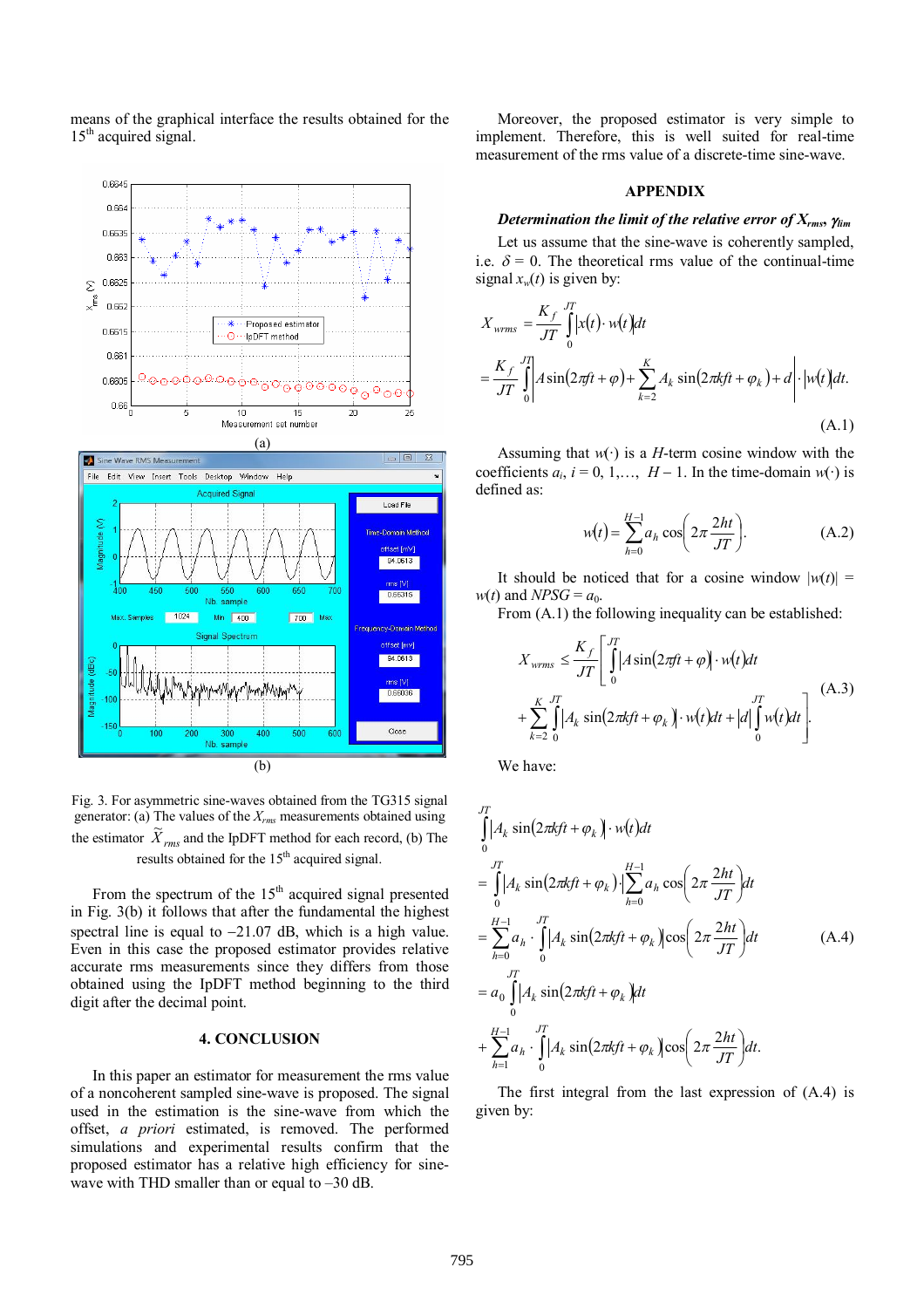means of the graphical interface the results obtained for the 15<sup>th</sup> acquired signal.





Fig. 3. For asymmetric sine-waves obtained from the TG315 signal generator: (a) The values of the *Xrms* measurements obtained using the estimator  $\widetilde{X}_{rms}$  and the IpDFT method for each record, (b) The results obtained for the  $15<sup>th</sup>$  acquired signal.

From the spectrum of the  $15<sup>th</sup>$  acquired signal presented in Fig. 3(b) it follows that after the fundamental the highest spectral line is equal to  $-21.07$  dB, which is a high value. Even in this case the proposed estimator provides relative accurate rms measurements since they differs from those obtained using the IpDFT method beginning to the third digit after the decimal point.

# **4. CONCLUSION**

In this paper an estimator for measurement the rms value of a noncoherent sampled sine-wave is proposed. The signal used in the estimation is the sine-wave from which the offset, *a priori* estimated, is removed. The performed simulations and experimental results confirm that the proposed estimator has a relative high efficiency for sinewave with THD smaller than or equal to –30 dB.

Moreover, the proposed estimator is very simple to implement. Therefore, this is well suited for real-time measurement of the rms value of a discrete-time sine-wave.

#### **APPENDIX**

# *Determination the limit of the relative error of Xrms***,** *lim*

Let us assume that the sine-wave is coherently sampled, i.e.  $\delta = 0$ . The theoretical rms value of the continual-time signal  $x_w(t)$  is given by:

$$
X_{wrms} = \frac{K_f}{JT} \int_0^{JT} \left| x(t) \cdot w(t) \right| dt
$$
  
= 
$$
\frac{K_f}{JT} \int_0^{JT} \left| A \sin(2\pi ft + \varphi) + \sum_{k=2}^K A_k \sin(2\pi k ft + \varphi_k) + d \right| \cdot \left| w(t) \right| dt.
$$
  
(A.1)

Assuming that  $w(\cdot)$  is a *H*-term cosine window with the coefficients  $a_i$ ,  $i = 0, 1, \ldots, H-1$ . In the time-domain  $w(\cdot)$  is defined as:

$$
w(t) = \sum_{h=0}^{H-1} a_h \cos\left(2\pi \frac{2ht}{JT}\right).
$$
 (A.2)

It should be noticed that for a cosine window  $|w(t)| =$  $w(t)$  and *NPSG* =  $a_0$ .

From  $(A.1)$  the following inequality can be established:

$$
X_{wrms} \leq \frac{K_f}{JT} \left[ \int_0^{JT} \left| A \sin(2\pi ft + \varphi) \right| \cdot w(t) dt + \sum_{k=2}^K \int_0^{JT} \left| A_k \sin(2\pi k ft + \varphi_k) \right| \cdot w(t) dt + \left| d \right| \int_0^{JT} w(t) dt \right].
$$
 (A.3)

We have:

$$
\int_{0}^{JT} |A_k \sin(2\pi kft + \varphi_k) \cdot w(t) dt
$$
\n
$$
= \int_{0}^{JT} |A_k \sin(2\pi kft + \varphi_k) \cdot| \sum_{h=0}^{H-1} a_h \cos\left(2\pi \frac{2ht}{JT}\right) dt
$$
\n
$$
= \sum_{h=0}^{H-1} a_h \cdot \int_{0}^{JT} |A_k \sin(2\pi kft + \varphi_k) \cos\left(2\pi \frac{2ht}{JT}\right) dt
$$
\n
$$
= a_0 \int_{0}^{JT} |A_k \sin(2\pi kft + \varphi_k) dt
$$
\n
$$
+ \sum_{h=1}^{H-1} a_h \cdot \int_{0}^{JT} |A_k \sin(2\pi kft + \varphi_k) \cos\left(2\pi \frac{2ht}{JT}\right) dt.
$$
\n(A.4)

The first integral from the last expression of (A.4) is given by: